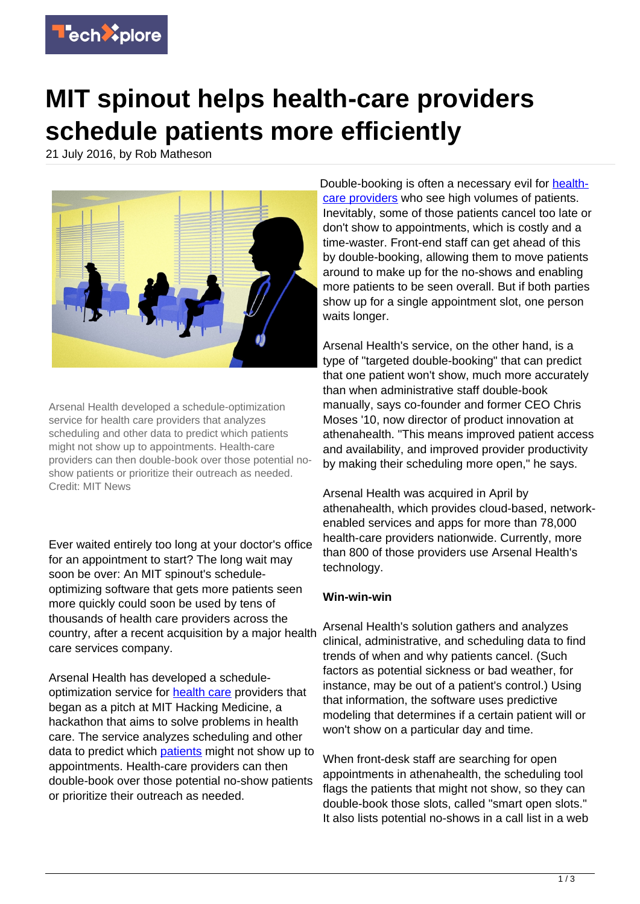

## **MIT spinout helps health-care providers schedule patients more efficiently**

21 July 2016, by Rob Matheson



Arsenal Health developed a schedule-optimization service for health care providers that analyzes scheduling and other data to predict which patients might not show up to appointments. Health-care providers can then double-book over those potential noshow patients or prioritize their outreach as needed. Credit: MIT News

Ever waited entirely too long at your doctor's office for an appointment to start? The long wait may soon be over: An MIT spinout's scheduleoptimizing software that gets more patients seen more quickly could soon be used by tens of thousands of health care providers across the country, after a recent acquisition by a major health care services company.

Arsenal Health has developed a scheduleoptimization service for [health care](https://techxplore.com/tags/health+care/) providers that began as a pitch at MIT Hacking Medicine, a hackathon that aims to solve problems in health care. The service analyzes scheduling and other data to predict which [patients](https://techxplore.com/tags/patients/) might not show up to appointments. Health-care providers can then double-book over those potential no-show patients or prioritize their outreach as needed.

Double-booking is often a necessary evil for [health](https://techxplore.com/tags/health+care+providers/)[care providers](https://techxplore.com/tags/health+care+providers/) who see high volumes of patients. Inevitably, some of those patients cancel too late or don't show to appointments, which is costly and a time-waster. Front-end staff can get ahead of this by double-booking, allowing them to move patients around to make up for the no-shows and enabling more patients to be seen overall. But if both parties show up for a single appointment slot, one person waits longer.

Arsenal Health's service, on the other hand, is a type of "targeted double-booking" that can predict that one patient won't show, much more accurately than when administrative staff double-book manually, says co-founder and former CEO Chris Moses '10, now director of product innovation at athenahealth. "This means improved patient access and availability, and improved provider productivity by making their scheduling more open," he says.

Arsenal Health was acquired in April by athenahealth, which provides cloud-based, networkenabled services and apps for more than 78,000 health-care providers nationwide. Currently, more than 800 of those providers use Arsenal Health's technology.

## **Win-win-win**

Arsenal Health's solution gathers and analyzes clinical, administrative, and scheduling data to find trends of when and why patients cancel. (Such factors as potential sickness or bad weather, for instance, may be out of a patient's control.) Using that information, the software uses predictive modeling that determines if a certain patient will or won't show on a particular day and time.

When front-desk staff are searching for open appointments in athenahealth, the scheduling tool flags the patients that might not show, so they can double-book those slots, called "smart open slots." It also lists potential no-shows in a call list in a web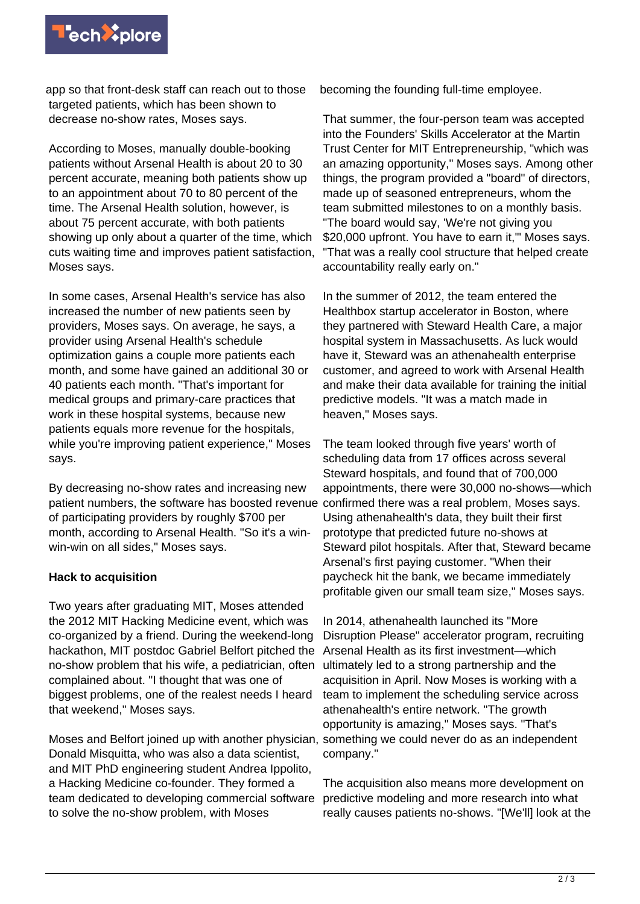

app so that front-desk staff can reach out to those targeted patients, which has been shown to decrease no-show rates, Moses says.

According to Moses, manually double-booking patients without Arsenal Health is about 20 to 30 percent accurate, meaning both patients show up to an appointment about 70 to 80 percent of the time. The Arsenal Health solution, however, is about 75 percent accurate, with both patients showing up only about a quarter of the time, which cuts waiting time and improves patient satisfaction, Moses says.

In some cases, Arsenal Health's service has also increased the number of new patients seen by providers, Moses says. On average, he says, a provider using Arsenal Health's schedule optimization gains a couple more patients each month, and some have gained an additional 30 or 40 patients each month. "That's important for medical groups and primary-care practices that work in these hospital systems, because new patients equals more revenue for the hospitals, while you're improving patient experience," Moses says.

By decreasing no-show rates and increasing new patient numbers, the software has boosted revenue of participating providers by roughly \$700 per month, according to Arsenal Health. "So it's a winwin-win on all sides," Moses says.

## **Hack to acquisition**

Two years after graduating MIT, Moses attended the 2012 MIT Hacking Medicine event, which was co-organized by a friend. During the weekend-long hackathon, MIT postdoc Gabriel Belfort pitched the no-show problem that his wife, a pediatrician, often complained about. "I thought that was one of biggest problems, one of the realest needs I heard that weekend," Moses says.

Moses and Belfort joined up with another physician, something we could never do as an independent Donald Misquitta, who was also a data scientist, and MIT PhD engineering student Andrea Ippolito, a Hacking Medicine co-founder. They formed a team dedicated to developing commercial software to solve the no-show problem, with Moses

becoming the founding full-time employee.

That summer, the four-person team was accepted into the Founders' Skills Accelerator at the Martin Trust Center for MIT Entrepreneurship, "which was an amazing opportunity," Moses says. Among other things, the program provided a "board" of directors, made up of seasoned entrepreneurs, whom the team submitted milestones to on a monthly basis. "The board would say, 'We're not giving you \$20,000 upfront. You have to earn it," Moses says. "That was a really cool structure that helped create accountability really early on."

In the summer of 2012, the team entered the Healthbox startup accelerator in Boston, where they partnered with Steward Health Care, a major hospital system in Massachusetts. As luck would have it, Steward was an athenahealth enterprise customer, and agreed to work with Arsenal Health and make their data available for training the initial predictive models. "It was a match made in heaven," Moses says.

The team looked through five years' worth of scheduling data from 17 offices across several Steward hospitals, and found that of 700,000 appointments, there were 30,000 no-shows—which confirmed there was a real problem, Moses says. Using athenahealth's data, they built their first prototype that predicted future no-shows at Steward pilot hospitals. After that, Steward became Arsenal's first paying customer. "When their paycheck hit the bank, we became immediately profitable given our small team size," Moses says.

In 2014, athenahealth launched its "More Disruption Please" accelerator program, recruiting Arsenal Health as its first investment—which ultimately led to a strong partnership and the acquisition in April. Now Moses is working with a team to implement the scheduling service across athenahealth's entire network. "The growth opportunity is amazing," Moses says. "That's company."

The acquisition also means more development on predictive modeling and more research into what really causes patients no-shows. "[We'll] look at the